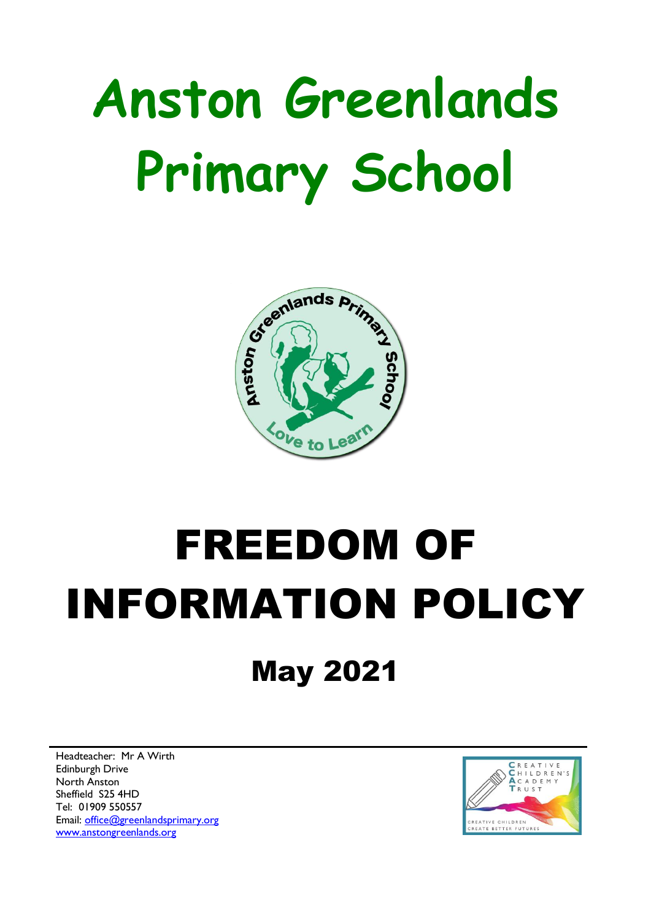# **Anston Greenlands Primary School**



# FREEDOM OF INFORMATION POLICY

### May 2021

Headteacher: Mr A Wirth Edinburgh Drive North Anston Sheffield S25 4HD Tel: 01909 550557 Email: [office@greenlandsprimary.org](mailto:office@greenlandsprimary.org) [www.anstongreenlands.org](http://www.anstongreenlands.org/)

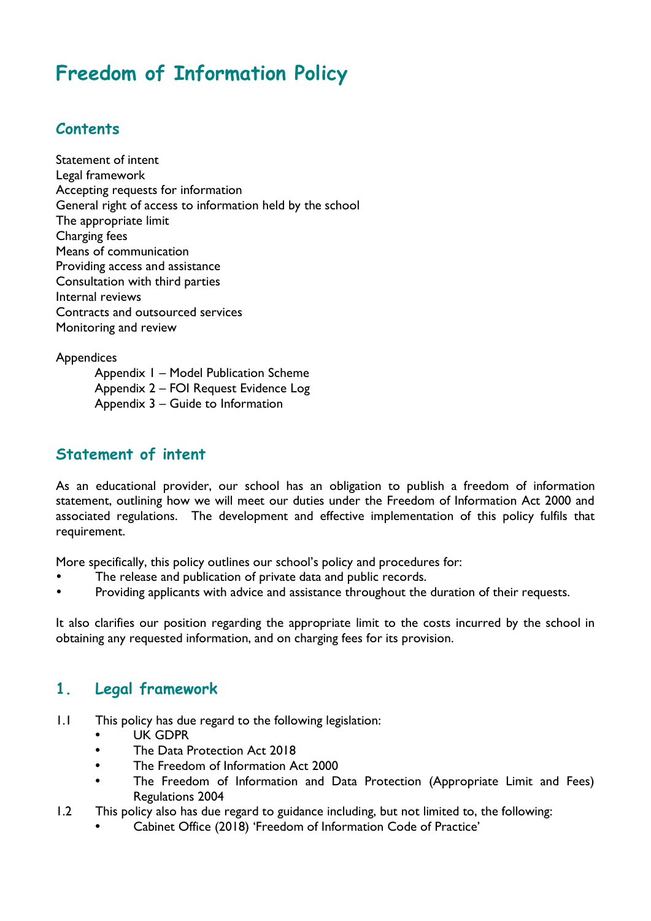### **Freedom of Information Policy**

#### **Contents**

Statement of intent Legal framework Accepting requests for information General right of access to information held by the school The appropriate limit Charging fees Means of communication Providing access and assistance Consultation with third parties Internal reviews Contracts and outsourced services [Monitoring and review](#page-8-0)

**Appendices** 

Appendix 1 – Model Publication Scheme Appendix 2 – FOI Request Evidence Log Appendix 3 – Guide to Information

#### **Statement of intent**

As an educational provider, our school has an obligation to publish a freedom of information statement, outlining how we will meet our duties under the Freedom of Information Act 2000 and associated regulations. The development and effective implementation of this policy fulfils that requirement.

More specifically, this policy outlines our school's policy and procedures for:

- The release and publication of private data and public records.
- Providing applicants with advice and assistance throughout the duration of their requests.

It also clarifies our position regarding the appropriate limit to the costs incurred by the school in obtaining any requested information, and on charging fees for its provision.

#### **1. Legal framework**

- 1.1 This policy has due regard to the following legislation:
	- UK GDPR
	- The Data Protection Act 2018
	- The Freedom of Information Act 2000
	- The Freedom of Information and Data Protection (Appropriate Limit and Fees) Regulations 2004
- 1.2 This policy also has due regard to guidance including, but not limited to, the following:
	- Cabinet Office (2018) 'Freedom of Information Code of Practice'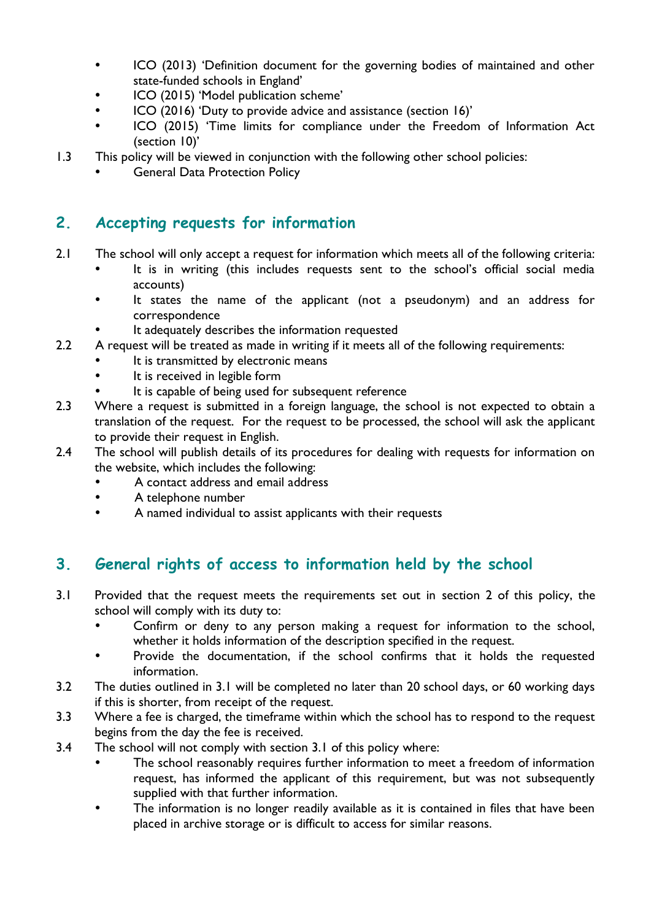- ICO (2013) 'Definition document for the governing bodies of maintained and other state-funded schools in England'
- ICO (2015) 'Model publication scheme'
- ICO (2016) 'Duty to provide advice and assistance (section 16)'
- ICO (2015) 'Time limits for compliance under the Freedom of Information Act (section 10)'
- 1.3 This policy will be viewed in conjunction with the following other school policies:
	- General Data Protection Policy

#### **2. Accepting requests for information**

- 2.1 The school will only accept a request for information which meets all of the following criteria:
	- It is in writing (this includes requests sent to the school's official social media accounts)
	- It states the name of the applicant (not a pseudonym) and an address for correspondence
	- It adequately describes the information requested
- 2.2 A request will be treated as made in writing if it meets all of the following requirements:
	- It is transmitted by electronic means
	- It is received in legible form
	- It is capable of being used for subsequent reference
- 2.3 Where a request is submitted in a foreign language, the school is not expected to obtain a translation of the request. For the request to be processed, the school will ask the applicant to provide their request in English.
- 2.4 The school will publish details of its procedures for dealing with requests for information on the website, which includes the following:
	- A contact address and email address
	- A telephone number
	- A named individual to assist applicants with their requests

#### **3. General rights of access to information held by the school**

- 3.1 Provided that the request meets the requirements set out in section 2 of this policy, the school will comply with its duty to:
	- Confirm or deny to any person making a request for information to the school, whether it holds information of the description specified in the request.
	- Provide the documentation, if the school confirms that it holds the requested information.
- 3.2 The duties outlined in 3.1 will be completed no later than 20 school days, or 60 working days if this is shorter, from receipt of the request.
- 3.3 Where a fee is charged, the timeframe within which the school has to respond to the request begins from the day the fee is received.
- 3.4 The school will not comply with section 3.1 of this policy where:
	- The school reasonably requires further information to meet a freedom of information request, has informed the applicant of this requirement, but was not subsequently supplied with that further information.
	- The information is no longer readily available as it is contained in files that have been placed in archive storage or is difficult to access for similar reasons.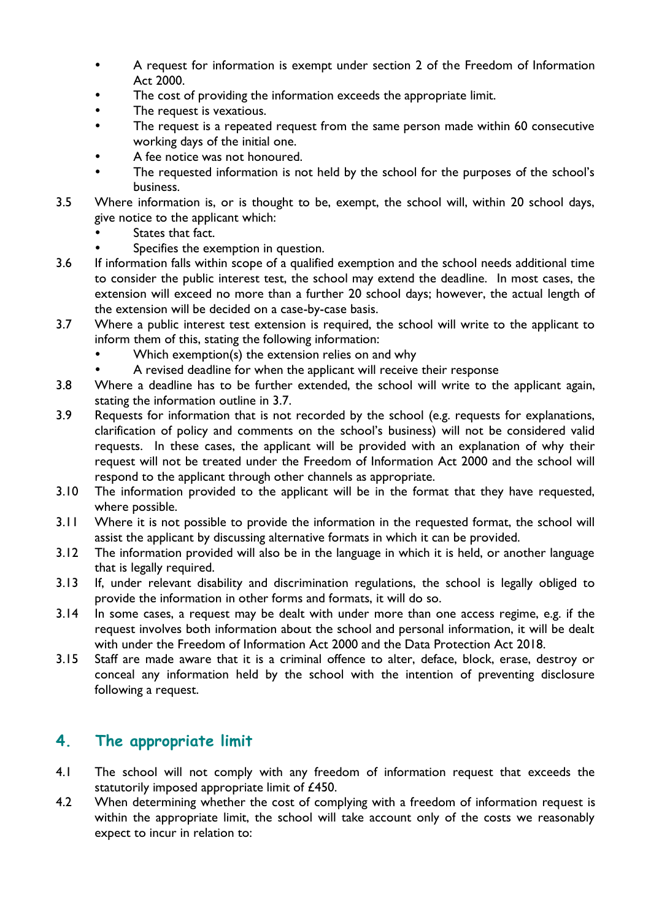- A request for information is exempt under section 2 of the Freedom of Information Act 2000.
- The cost of providing the information exceeds the appropriate limit.
- The request is vexatious.
- The request is a repeated request from the same person made within 60 consecutive working days of the initial one.
- A fee notice was not honoured.
- The requested information is not held by the school for the purposes of the school's business.
- 3.5 Where information is, or is thought to be, exempt, the school will, within 20 school days, give notice to the applicant which:
	- States that fact.
	- Specifies the exemption in question.
- 3.6 If information falls within scope of a qualified exemption and the school needs additional time to consider the public interest test, the school may extend the deadline. In most cases, the extension will exceed no more than a further 20 school days; however, the actual length of the extension will be decided on a case-by-case basis.
- 3.7 Where a public interest test extension is required, the school will write to the applicant to inform them of this, stating the following information:
	- Which exemption(s) the extension relies on and why
	- A revised deadline for when the applicant will receive their response
- 3.8 Where a deadline has to be further extended, the school will write to the applicant again, stating the information outline in 3.7.
- 3.9 Requests for information that is not recorded by the school (e.g. requests for explanations, clarification of policy and comments on the school's business) will not be considered valid requests. In these cases, the applicant will be provided with an explanation of why their request will not be treated under the Freedom of Information Act 2000 and the school will respond to the applicant through other channels as appropriate.
- 3.10 The information provided to the applicant will be in the format that they have requested, where possible.
- 3.11 Where it is not possible to provide the information in the requested format, the school will assist the applicant by discussing alternative formats in which it can be provided.
- 3.12 The information provided will also be in the language in which it is held, or another language that is legally required.
- 3.13 If, under relevant disability and discrimination regulations, the school is legally obliged to provide the information in other forms and formats, it will do so.
- 3.14 In some cases, a request may be dealt with under more than one access regime, e.g. if the request involves both information about the school and personal information, it will be dealt with under the Freedom of Information Act 2000 and the Data Protection Act 2018.
- 3.15 Staff are made aware that it is a criminal offence to alter, deface, block, erase, destroy or conceal any information held by the school with the intention of preventing disclosure following a request.

#### **4. The appropriate limit**

- 4.1 The school will not comply with any freedom of information request that exceeds the statutorily imposed appropriate limit of £450.
- 4.2 When determining whether the cost of complying with a freedom of information request is within the appropriate limit, the school will take account only of the costs we reasonably expect to incur in relation to: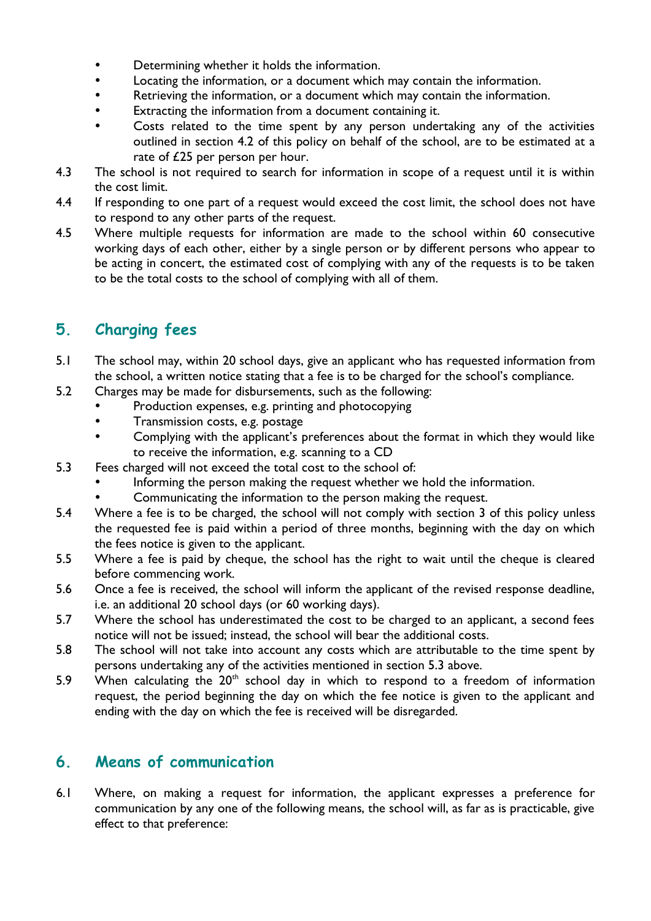- Determining whether it holds the information.
- Locating the information, or a document which may contain the information.
- Retrieving the information, or a document which may contain the information.
- Extracting the information from a document containing it.
- Costs related to the time spent by any person undertaking any of the activities outlined in section 4.2 of this policy on behalf of the school, are to be estimated at a rate of £25 per person per hour.
- 4.3 The school is not required to search for information in scope of a request until it is within the cost limit.
- 4.4 If responding to one part of a request would exceed the cost limit, the school does not have to respond to any other parts of the request.
- 4.5 Where multiple requests for information are made to the school within 60 consecutive working days of each other, either by a single person or by different persons who appear to be acting in concert, the estimated cost of complying with any of the requests is to be taken to be the total costs to the school of complying with all of them.

#### **5. Charging fees**

- 5.1 The school may, within 20 school days, give an applicant who has requested information from the school, a written notice stating that a fee is to be charged for the school's compliance.
- 5.2 Charges may be made for disbursements, such as the following:
	- Production expenses, e.g. printing and photocopying
	- Transmission costs, e.g. postage
	- Complying with the applicant's preferences about the format in which they would like to receive the information, e.g. scanning to a CD
- 5.3 Fees charged will not exceed the total cost to the school of:
	- Informing the person making the request whether we hold the information.
	- Communicating the information to the person making the request.
- 5.4 Where a fee is to be charged, the school will not comply with section 3 of this policy unless the requested fee is paid within a period of three months, beginning with the day on which the fees notice is given to the applicant.
- 5.5 Where a fee is paid by cheque, the school has the right to wait until the cheque is cleared before commencing work.
- 5.6 Once a fee is received, the school will inform the applicant of the revised response deadline, i.e. an additional 20 school days (or 60 working days).
- 5.7 Where the school has underestimated the cost to be charged to an applicant, a second fees notice will not be issued; instead, the school will bear the additional costs.
- 5.8 The school will not take into account any costs which are attributable to the time spent by persons undertaking any of the activities mentioned in section 5.3 above.
- 5.9 When calculating the  $20<sup>th</sup>$  school day in which to respond to a freedom of information request, the period beginning the day on which the fee notice is given to the applicant and ending with the day on which the fee is received will be disregarded.

#### **6. Means of communication**

6.1 Where, on making a request for information, the applicant expresses a preference for communication by any one of the following means, the school will, as far as is practicable, give effect to that preference: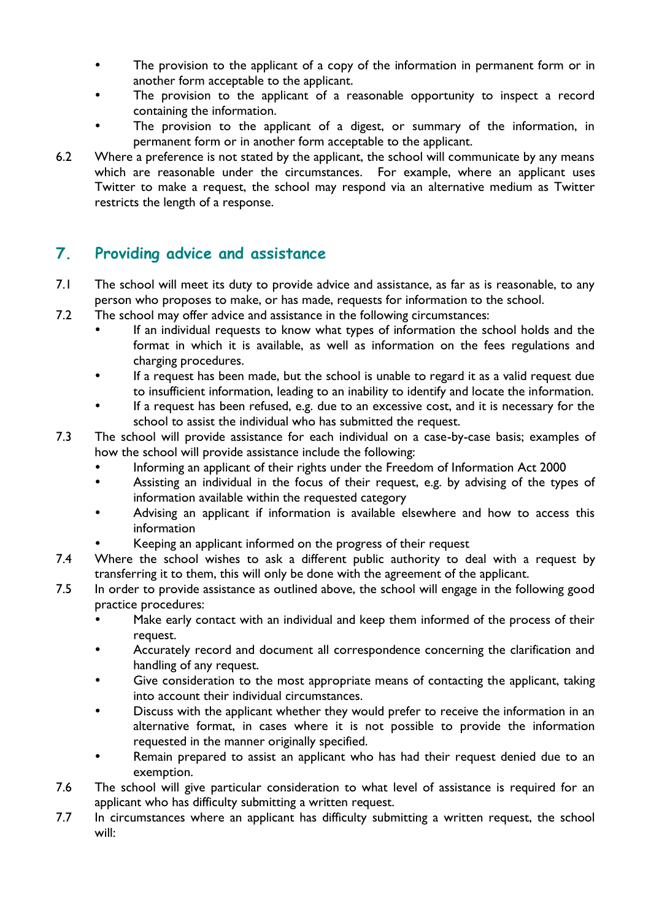- The provision to the applicant of a copy of the information in permanent form or in another form acceptable to the applicant.
- The provision to the applicant of a reasonable opportunity to inspect a record containing the information.
- The provision to the applicant of a digest, or summary of the information, in permanent form or in another form acceptable to the applicant.
- 6.2 Where a preference is not stated by the applicant, the school will communicate by any means which are reasonable under the circumstances. For example, where an applicant uses Twitter to make a request, the school may respond via an alternative medium as Twitter restricts the length of a response.

#### **7. Providing advice and assistance**

- 7.1 The school will meet its duty to provide advice and assistance, as far as is reasonable, to any person who proposes to make, or has made, requests for information to the school.
- 7.2 The school may offer advice and assistance in the following circumstances:
	- If an individual requests to know what types of information the school holds and the format in which it is available, as well as information on the fees regulations and charging procedures.
	- If a request has been made, but the school is unable to regard it as a valid request due to insufficient information, leading to an inability to identify and locate the information.
	- If a request has been refused, e.g. due to an excessive cost, and it is necessary for the school to assist the individual who has submitted the request.
- 7.3 The school will provide assistance for each individual on a case-by-case basis; examples of how the school will provide assistance include the following:
	- Informing an applicant of their rights under the Freedom of Information Act 2000
	- Assisting an individual in the focus of their request, e.g. by advising of the types of information available within the requested category
	- Advising an applicant if information is available elsewhere and how to access this information
	- Keeping an applicant informed on the progress of their request
- 7.4 Where the school wishes to ask a different public authority to deal with a request by transferring it to them, this will only be done with the agreement of the applicant.
- 7.5 In order to provide assistance as outlined above, the school will engage in the following good practice procedures:
	- Make early contact with an individual and keep them informed of the process of their request.
	- Accurately record and document all correspondence concerning the clarification and handling of any request.
	- Give consideration to the most appropriate means of contacting the applicant, taking into account their individual circumstances.
	- Discuss with the applicant whether they would prefer to receive the information in an alternative format, in cases where it is not possible to provide the information requested in the manner originally specified.
	- Remain prepared to assist an applicant who has had their request denied due to an exemption.
- 7.6 The school will give particular consideration to what level of assistance is required for an applicant who has difficulty submitting a written request.
- 7.7 In circumstances where an applicant has difficulty submitting a written request, the school will: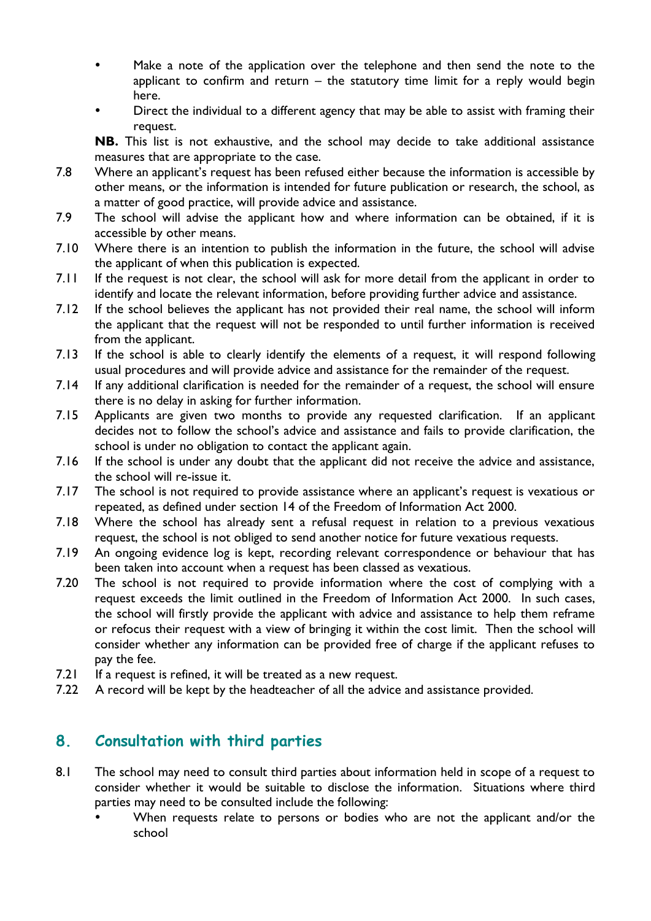- Make a note of the application over the telephone and then send the note to the applicant to confirm and return  $-$  the statutory time limit for a reply would begin here.
- Direct the individual to a different agency that may be able to assist with framing their request.

**NB.** This list is not exhaustive, and the school may decide to take additional assistance measures that are appropriate to the case.

- 7.8 Where an applicant's request has been refused either because the information is accessible by other means, or the information is intended for future publication or research, the school, as a matter of good practice, will provide advice and assistance.
- 7.9 The school will advise the applicant how and where information can be obtained, if it is accessible by other means.
- 7.10 Where there is an intention to publish the information in the future, the school will advise the applicant of when this publication is expected.
- 7.11 If the request is not clear, the school will ask for more detail from the applicant in order to identify and locate the relevant information, before providing further advice and assistance.
- 7.12 If the school believes the applicant has not provided their real name, the school will inform the applicant that the request will not be responded to until further information is received from the applicant.
- 7.13 If the school is able to clearly identify the elements of a request, it will respond following usual procedures and will provide advice and assistance for the remainder of the request.
- 7.14 If any additional clarification is needed for the remainder of a request, the school will ensure there is no delay in asking for further information.
- 7.15 Applicants are given two months to provide any requested clarification. If an applicant decides not to follow the school's advice and assistance and fails to provide clarification, the school is under no obligation to contact the applicant again.
- 7.16 If the school is under any doubt that the applicant did not receive the advice and assistance, the school will re-issue it.
- 7.17 The school is not required to provide assistance where an applicant's request is vexatious or repeated, as defined under section 14 of the Freedom of Information Act 2000.
- 7.18 Where the school has already sent a refusal request in relation to a previous vexatious request, the school is not obliged to send another notice for future vexatious requests.
- 7.19 An ongoing evidence log is kept, recording relevant correspondence or behaviour that has been taken into account when a request has been classed as vexatious.
- 7.20 The school is not required to provide information where the cost of complying with a request exceeds the limit outlined in the Freedom of Information Act 2000. In such cases, the school will firstly provide the applicant with advice and assistance to help them reframe or refocus their request with a view of bringing it within the cost limit. Then the school will consider whether any information can be provided free of charge if the applicant refuses to pay the fee.
- 7.21 If a request is refined, it will be treated as a new request.
- 7.22 A record will be kept by the headteacher of all the advice and assistance provided.

#### **8. Consultation with third parties**

- 8.1 The school may need to consult third parties about information held in scope of a request to consider whether it would be suitable to disclose the information. Situations where third parties may need to be consulted include the following:
	- When requests relate to persons or bodies who are not the applicant and/or the school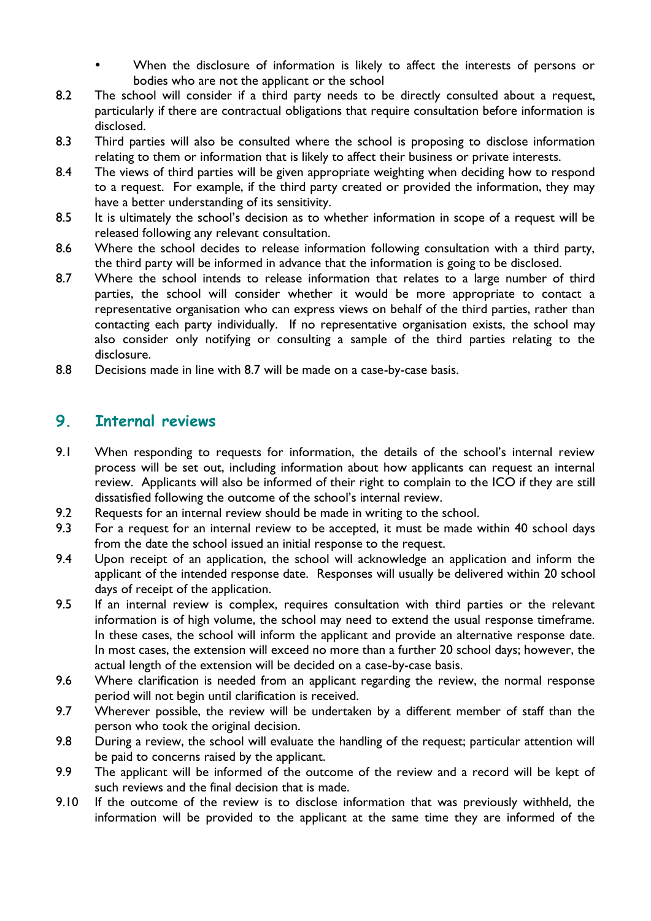- When the disclosure of information is likely to affect the interests of persons or bodies who are not the applicant or the school
- 8.2 The school will consider if a third party needs to be directly consulted about a request, particularly if there are contractual obligations that require consultation before information is disclosed.
- 8.3 Third parties will also be consulted where the school is proposing to disclose information relating to them or information that is likely to affect their business or private interests.
- 8.4 The views of third parties will be given appropriate weighting when deciding how to respond to a request. For example, if the third party created or provided the information, they may have a better understanding of its sensitivity.
- 8.5 It is ultimately the school's decision as to whether information in scope of a request will be released following any relevant consultation.
- 8.6 Where the school decides to release information following consultation with a third party, the third party will be informed in advance that the information is going to be disclosed.
- 8.7 Where the school intends to release information that relates to a large number of third parties, the school will consider whether it would be more appropriate to contact a representative organisation who can express views on behalf of the third parties, rather than contacting each party individually. If no representative organisation exists, the school may also consider only notifying or consulting a sample of the third parties relating to the disclosure.
- 8.8 Decisions made in line with 8.7 will be made on a case-by-case basis.

#### **9. Internal reviews**

- 9.1 When responding to requests for information, the details of the school's internal review process will be set out, including information about how applicants can request an internal review. Applicants will also be informed of their right to complain to the ICO if they are still dissatisfied following the outcome of the school's internal review.
- 9.2 Requests for an internal review should be made in writing to the school.
- 9.3 For a request for an internal review to be accepted, it must be made within 40 school days from the date the school issued an initial response to the request.
- 9.4 Upon receipt of an application, the school will acknowledge an application and inform the applicant of the intended response date. Responses will usually be delivered within 20 school days of receipt of the application.
- 9.5 If an internal review is complex, requires consultation with third parties or the relevant information is of high volume, the school may need to extend the usual response timeframe. In these cases, the school will inform the applicant and provide an alternative response date. In most cases, the extension will exceed no more than a further 20 school days; however, the actual length of the extension will be decided on a case-by-case basis.
- 9.6 Where clarification is needed from an applicant regarding the review, the normal response period will not begin until clarification is received.
- 9.7 Wherever possible, the review will be undertaken by a different member of staff than the person who took the original decision.
- 9.8 During a review, the school will evaluate the handling of the request; particular attention will be paid to concerns raised by the applicant.
- 9.9 The applicant will be informed of the outcome of the review and a record will be kept of such reviews and the final decision that is made.
- 9.10 If the outcome of the review is to disclose information that was previously withheld, the information will be provided to the applicant at the same time they are informed of the